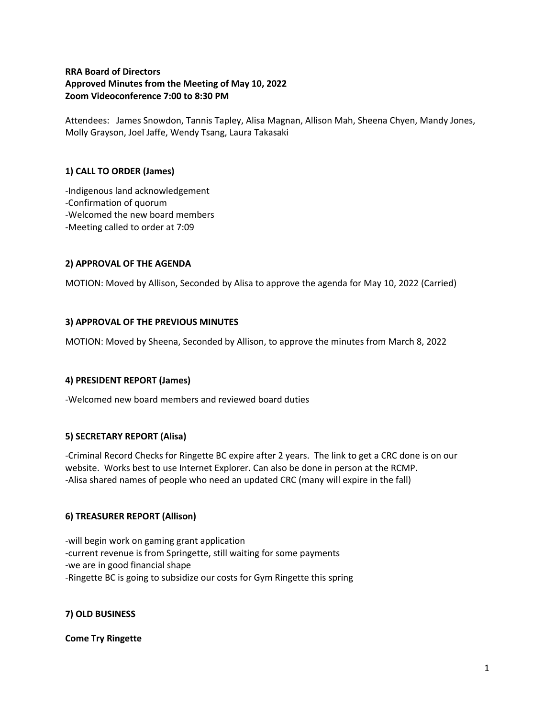## **RRA Board of Directors Approved Minutes from the Meeting of May 10, 2022 Zoom Videoconference 7:00 to 8:30 PM**

Attendees: James Snowdon, Tannis Tapley, Alisa Magnan, Allison Mah, Sheena Chyen, Mandy Jones, Molly Grayson, Joel Jaffe, Wendy Tsang, Laura Takasaki

# **1) CALL TO ORDER (James)**

-Indigenous land acknowledgement -Confirmation of quorum -Welcomed the new board members -Meeting called to order at 7:09

### **2) APPROVAL OF THE AGENDA**

MOTION: Moved by Allison, Seconded by Alisa to approve the agenda for May 10, 2022 (Carried)

### **3) APPROVAL OF THE PREVIOUS MINUTES**

MOTION: Moved by Sheena, Seconded by Allison, to approve the minutes from March 8, 2022

#### **4) PRESIDENT REPORT (James)**

-Welcomed new board members and reviewed board duties

#### **5) SECRETARY REPORT (Alisa)**

-Criminal Record Checks for Ringette BC expire after 2 years. The link to get a CRC done is on our website. Works best to use Internet Explorer. Can also be done in person at the RCMP. -Alisa shared names of people who need an updated CRC (many will expire in the fall)

#### **6) TREASURER REPORT (Allison)**

-will begin work on gaming grant application -current revenue is from Springette, still waiting for some payments -we are in good financial shape -Ringette BC is going to subsidize our costs for Gym Ringette this spring

#### **7) OLD BUSINESS**

**Come Try Ringette**